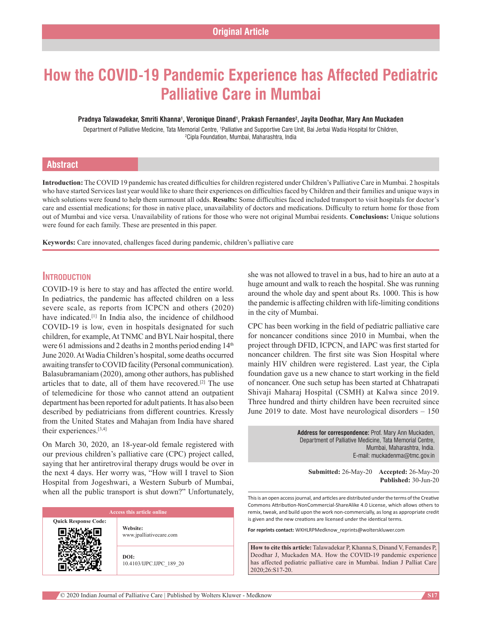# **How the COVID‑19 Pandemic Experience has Affected Pediatric Palliative Care in Mumbai**

#### **Pradnya Talawadekar, Smriti Khanna1 , Veronique Dinand1 , Prakash Fernandes2 , Jayita Deodhar, Mary Ann Muckaden**

Department of Palliative Medicine, Tata Memorial Centre, <sup>1</sup>Palliative and Supportive Care Unit, Bai Jerbai Wadia Hospital for Children, 2 Cipla Foundation, Mumbai, Maharashtra, India

# **Abstract**

**Introduction:** The COVID 19 pandemic has created difficulties for children registered under Children's Palliative Care in Mumbai. 2 hospitals who have started Services last year would like to share their experiences on difficulties faced by Children and their families and unique ways in which solutions were found to help them surmount all odds. **Results:** Some difficulties faced included transport to visit hospitals for doctor's care and essential medications; for those in native place, unavailability of doctors and medications. Difficulty to return home for those from out of Mumbai and vice versa. Unavailability of rations for those who were not original Mumbai residents. **Conclusions:** Unique solutions were found for each family. These are presented in this paper.

**Keywords:** Care innovated, challenges faced during pandemic, children's palliative care

# **Introduction**

COVID‑19 is here to stay and has affected the entire world. In pediatrics, the pandemic has affected children on a less severe scale, as reports from ICPCN and others (2020) have indicated.<sup>[1]</sup> In India also, the incidence of childhood COVID-19 is low, even in hospitals designated for such children, for example, At TNMC and BYL Nair hospital, there were 61 admissions and 2 deaths in 2 months period ending  $14<sup>th</sup>$ June 2020. At Wadia Children's hospital, some deaths occurred awaiting transfer to COVID facility (Personal communication). Balasubramaniam (2020), among other authors, has published articles that to date, all of them have recovered.[2] The use of telemedicine for those who cannot attend an outpatient department has been reported for adult patients. It has also been described by pediatricians from different countries. Kressly from the United States and Mahajan from India have shared their experiences.[3,4]

On March 30, 2020, an 18‑year‑old female registered with our previous children's palliative care (CPC) project called, saying that her antiretroviral therapy drugs would be over in the next 4 days. Her worry was, "How will I travel to Sion Hospital from Jogeshwari, a Western Suburb of Mumbai, when all the public transport is shut down?" Unfortunately,

**Quick Response Code:**

**Website:** www.jpalliativecare.com

**DOI:** 10.4103/IJPC.IJPC\_189\_20 she was not allowed to travel in a bus, had to hire an auto at a huge amount and walk to reach the hospital. She was running around the whole day and spent about Rs. 1000. This is how the pandemic is affecting children with life‑limiting conditions in the city of Mumbai.

CPC has been working in the field of pediatric palliative care for noncancer conditions since 2010 in Mumbai, when the project through DFID, ICPCN, and IAPC was first started for noncancer children. The first site was Sion Hospital where mainly HIV children were registered. Last year, the Cipla foundation gave us a new chance to start working in the field of noncancer. One such setup has been started at Chhatrapati Shivaji Maharaj Hospital (CSMH) at Kalwa since 2019. Three hundred and thirty children have been recruited since June 2019 to date. Most have neurological disorders – 150

> **Address for correspondence:** Prof. Mary Ann Muckaden, Department of Palliative Medicine, Tata Memorial Centre, Mumbai, Maharashtra, India. E‑mail: muckadenma@tmc.gov.in

**Submitted:** 26-May-20 **Accepted:** 26-May-20 **Published:** 30-Jun-20

This is an open access journal, and articles are distributed under the terms of the Creative Commons Attribution‑NonCommercial‑ShareAlike 4.0 License, which allows others to remix, tweak, and build upon the work non‑commercially, as long as appropriate credit is given and the new creations are licensed under the identical terms.

**For reprints contact:** WKHLRPMedknow\_reprints@wolterskluwer.com

**How to cite this article:** Talawadekar P, Khanna S, Dinand V, Fernandes P, Deodhar J, Muckaden MA. How the COVID-19 pandemic experience has affected pediatric palliative care in Mumbai. Indian J Palliat Care 2020;26:S17-20.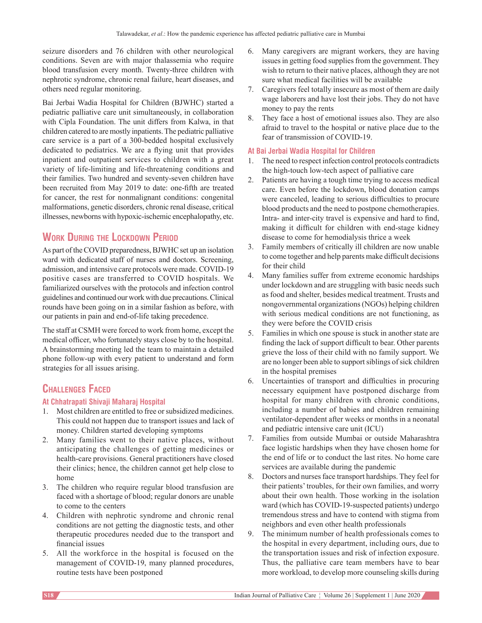seizure disorders and 76 children with other neurological conditions. Seven are with major thalassemia who require blood transfusion every month. Twenty-three children with nephrotic syndrome, chronic renal failure, heart diseases, and others need regular monitoring.

Bai Jerbai Wadia Hospital for Children (BJWHC) started a pediatric palliative care unit simultaneously, in collaboration with Cipla Foundation. The unit differs from Kalwa, in that children catered to are mostly inpatients. The pediatric palliative care service is a part of a 300‑bedded hospital exclusively dedicated to pediatrics. We are a flying unit that provides inpatient and outpatient services to children with a great variety of life-limiting and life-threatening conditions and their families. Two hundred and seventy‑seven children have been recruited from May 2019 to date: one-fifth are treated for cancer, the rest for nonmalignant conditions: congenital malformations, genetic disorders, chronic renal disease, critical illnesses, newborns with hypoxic‑ischemic encephalopathy, etc.

# **Work During the Lockdown Period**

As part of the COVID preparedness, BJWHC set up an isolation ward with dedicated staff of nurses and doctors. Screening, admission, and intensive care protocols were made. COVID-19 positive cases are transferred to COVID hospitals. We familiarized ourselves with the protocols and infection control guidelines and continued our work with due precautions. Clinical rounds have been going on in a similar fashion as before, with our patients in pain and end‑of‑life taking precedence.

The staff at CSMH were forced to work from home, except the medical officer, who fortunately stays close by to the hospital. A brainstorming meeting led the team to maintain a detailed phone follow‑up with every patient to understand and form strategies for all issues arising.

# **Challenges Faced**

# **At Chhatrapati Shivaji Maharaj Hospital**

- 1. Most children are entitled to free or subsidized medicines. This could not happen due to transport issues and lack of money. Children started developing symptoms
- 2. Many families went to their native places, without anticipating the challenges of getting medicines or health-care provisions. General practitioners have closed their clinics; hence, the children cannot get help close to home
- 3. The children who require regular blood transfusion are faced with a shortage of blood; regular donors are unable to come to the centers
- 4. Children with nephrotic syndrome and chronic renal conditions are not getting the diagnostic tests, and other therapeutic procedures needed due to the transport and financial issues
- 5. All the workforce in the hospital is focused on the management of COVID-19, many planned procedures, routine tests have been postponed
- 6. Many caregivers are migrant workers, they are having issues in getting food supplies from the government. They wish to return to their native places, although they are not sure what medical facilities will be available
- 7. Caregivers feel totally insecure as most of them are daily wage laborers and have lost their jobs. They do not have money to pay the rents
- 8. They face a host of emotional issues also. They are also afraid to travel to the hospital or native place due to the fear of transmission of COVID-19.

# **At Bai Jerbai Wadia Hospital for Children**

- 1. The need to respect infection control protocols contradicts the high-touch low-tech aspect of palliative care
- 2. Patients are having a tough time trying to access medical care. Even before the lockdown, blood donation camps were canceled, leading to serious difficulties to procure blood products and the need to postpone chemotherapies. Intra- and inter-city travel is expensive and hard to find, making it difficult for children with end‑stage kidney disease to come for hemodialysis thrice a week
- 3. Family members of critically ill children are now unable to come together and help parents make difficult decisions for their child
- 4. Many families suffer from extreme economic hardships under lockdown and are struggling with basic needs such as food and shelter, besides medical treatment. Trusts and nongovernmental organizations(NGOs) helping children with serious medical conditions are not functioning, as they were before the COVID crisis
- 5. Families in which one spouse is stuck in another state are finding the lack of support difficult to bear. Other parents grieve the loss of their child with no family support. We are no longer been able to support siblings of sick children in the hospital premises
- 6. Uncertainties of transport and difficulties in procuring necessary equipment have postponed discharge from hospital for many children with chronic conditions, including a number of babies and children remaining ventilator‑dependent after weeks or months in a neonatal and pediatric intensive care unit (ICU)
- 7. Families from outside Mumbai or outside Maharashtra face logistic hardships when they have chosen home for the end of life or to conduct the last rites. No home care services are available during the pandemic
- 8. Doctors and nurses face transport hardships. They feel for their patients' troubles, for their own families, and worry about their own health. Those working in the isolation ward (which has COVID-19-suspected patients) undergo tremendous stress and have to contend with stigma from neighbors and even other health professionals
- 9. The minimum number of health professionals comes to the hospital in every department, including ours, due to the transportation issues and risk of infection exposure. Thus, the palliative care team members have to bear more workload, to develop more counseling skills during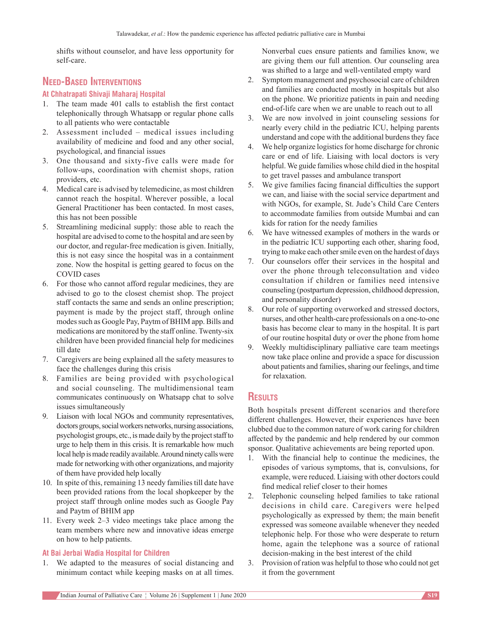shifts without counselor, and have less opportunity for self‑care.

# **Need‑Based Interventions**

# **At Chhatrapati Shivaji Maharaj Hospital**

- 1. The team made 401 calls to establish the first contact telephonically through Whatsapp or regular phone calls to all patients who were contactable
- 2. Assessment included medical issues including availability of medicine and food and any other social, psychological, and financial issues
- 3. One thousand and sixty-five calls were made for follow‑ups, coordination with chemist shops, ration providers, etc.
- 4. Medical care is advised by telemedicine, as most children cannot reach the hospital. Wherever possible, a local General Practitioner has been contacted. In most cases, this has not been possible
- 5. Streamlining medicinal supply: those able to reach the hospital are advised to come to the hospital and are seen by our doctor, and regular‑free medication is given. Initially, this is not easy since the hospital was in a containment zone. Now the hospital is getting geared to focus on the COVID cases
- 6. For those who cannot afford regular medicines, they are advised to go to the closest chemist shop. The project staff contacts the same and sends an online prescription; payment is made by the project staff, through online modes such as Google Pay, Paytm of BHIM app. Bills and medications are monitored by the staff online. Twenty-six children have been provided financial help for medicines till date
- 7. Caregivers are being explained all the safety measures to face the challenges during this crisis
- 8. Families are being provided with psychological and social counseling. The multidimensional team communicates continuously on Whatsapp chat to solve issues simultaneously
- 9. Liaison with local NGOs and community representatives, doctors groups, social workers networks, nursing associations, psychologist groups, etc., is made daily by the project staff to urge to help them in this crisis. It is remarkable how much local help is made readily available. Around ninety calls were made for networking with other organizations, and majority of them have provided help locally
- 10. In spite of this, remaining 13 needy families till date have been provided rations from the local shopkeeper by the project staff through online modes such as Google Pay and Paytm of BHIM app
- 11. Every week 2–3 video meetings take place among the team members where new and innovative ideas emerge on how to help patients.

# **At Bai Jerbai Wadia Hospital for Children**

1. We adapted to the measures of social distancing and minimum contact while keeping masks on at all times. Nonverbal cues ensure patients and families know, we are giving them our full attention. Our counseling area was shifted to a large and well-ventilated empty ward

- 2. Symptom management and psychosocial care of children and families are conducted mostly in hospitals but also on the phone. We prioritize patients in pain and needing end-of-life care when we are unable to reach out to all
- 3. We are now involved in joint counseling sessions for nearly every child in the pediatric ICU, helping parents understand and cope with the additional burdens they face
- 4. We help organize logistics for home discharge for chronic care or end of life. Liaising with local doctors is very helpful. We guide families whose child died in the hospital to get travel passes and ambulance transport
- 5. We give families facing financial difficulties the support we can, and liaise with the social service department and with NGOs, for example, St. Jude's Child Care Centers to accommodate families from outside Mumbai and can kids for ration for the needy families
- 6. We have witnessed examples of mothers in the wards or in the pediatric ICU supporting each other, sharing food, trying to make each other smile even on the hardest of days
- 7. Our counselors offer their services in the hospital and over the phone through teleconsultation and video consultation if children or families need intensive counseling (postpartum depression, childhood depression, and personality disorder)
- 8. Our role of supporting overworked and stressed doctors, nurses, and other health-care professionals on a one-to-one basis has become clear to many in the hospital. It is part of our routine hospital duty or over the phone from home
- 9. Weekly multidisciplinary palliative care team meetings now take place online and provide a space for discussion about patients and families, sharing our feelings, and time for relaxation.

# **Results**

Both hospitals present different scenarios and therefore different challenges. However, their experiences have been clubbed due to the common nature of work caring for children affected by the pandemic and help rendered by our common sponsor. Qualitative achievements are being reported upon.

- 1. With the financial help to continue the medicines, the episodes of various symptoms, that is, convulsions, for example, were reduced. Liaising with other doctors could find medical relief closer to their homes
- 2. Telephonic counseling helped families to take rational decisions in child care. Caregivers were helped psychologically as expressed by them; the main benefit expressed was someone available whenever they needed telephonic help. For those who were desperate to return home, again the telephone was a source of rational decision‑making in the best interest of the child
- 3. Provision of ration was helpful to those who could not get it from the government